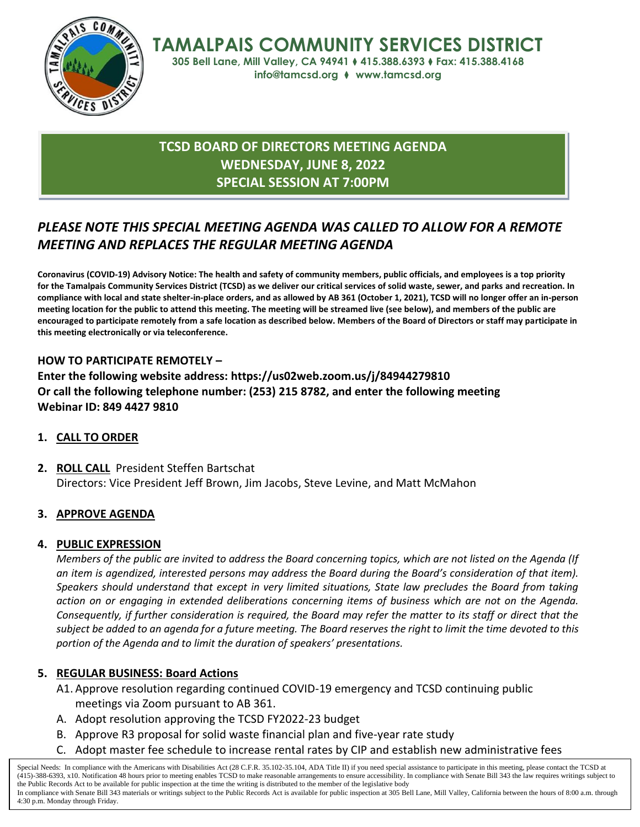

**TAMALPAIS COMMUNITY SERVICES DISTRICT**

**305 Bell Lane, Mill Valley, CA 94941** ⧫ **415.388.6393** ⧫ **Fax: 415.388.4168 info@tamcsd.org** ⧫ **www.tamcsd.org**

# **TCSD BOARD OF DIRECTORS MEETING AGENDA WEDNESDAY, JUNE 8, 2022 SPECIAL SESSION AT 7:00PM**

# *PLEASE NOTE THIS SPECIAL MEETING AGENDA WAS CALLED TO ALLOW FOR A REMOTE MEETING AND REPLACES THE REGULAR MEETING AGENDA*

**Coronavirus (COVID-19) Advisory Notice: The health and safety of community members, public officials, and employees is a top priority for the Tamalpais Community Services District (TCSD) as we deliver our critical services of solid waste, sewer, and parks and recreation. In compliance with local and state shelter-in-place orders, and as allowed by AB 361 (October 1, 2021), TCSD will no longer offer an in-person meeting location for the public to attend this meeting. The meeting will be streamed live (see below), and members of the public are encouraged to participate remotely from a safe location as described below. Members of the Board of Directors or staff may participate in this meeting electronically or via teleconference.**

## **HOW TO PARTICIPATE REMOTELY –**

**Enter the following website address: https://us02web.zoom.us/j/84944279810 Or call the following telephone number: (253) 215 8782, and enter the following meeting Webinar ID: 849 4427 9810**

### **1. CALL TO ORDER**

**2. ROLL CALL** President Steffen Bartschat Directors: Vice President Jeff Brown, Jim Jacobs, Steve Levine, and Matt McMahon

### **3. APPROVE AGENDA**

#### **4. PUBLIC EXPRESSION**

*Members of the public are invited to address the Board concerning topics, which are not listed on the Agenda (If an item is agendized, interested persons may address the Board during the Board's consideration of that item). Speakers should understand that except in very limited situations, State law precludes the Board from taking action on or engaging in extended deliberations concerning items of business which are not on the Agenda. Consequently, if further consideration is required, the Board may refer the matter to its staff or direct that the subject be added to an agenda for a future meeting. The Board reserves the right to limit the time devoted to this portion of the Agenda and to limit the duration of speakers' presentations.*

#### **5. REGULAR BUSINESS: Board Actions**

- A1. Approve resolution regarding continued COVID-19 emergency and TCSD continuing public meetings via Zoom pursuant to AB 361.
- A. Adopt resolution approving the TCSD FY2022-23 budget
- B. Approve R3 proposal for solid waste financial plan and five-year rate study
- C. Adopt master fee schedule to increase rental rates by CIP and establish new administrative fees

Special Needs: In compliance with the Americans with Disabilities Act (28 C.F.R. 35.102-35.104, ADA Title II) if you need special assistance to participate in this meeting, please contact the TCSD at (415)-388-6393, x10. Notification 48 hours prior to meeting enables TCSD to make reasonable arrangements to ensure accessibility. In compliance with Senate Bill 343 the law requires writings subject to the Public Records Act to be available for public inspection at the time the writing is distributed to the member of the legislative body In compliance with Senate Bill 343 materials or writings subject to the Public Records Act is available for public inspection at 305 Bell Lane, Mill Valley, California between the hours of 8:00 a.m. through 4:30 p.m. Monday through Friday.